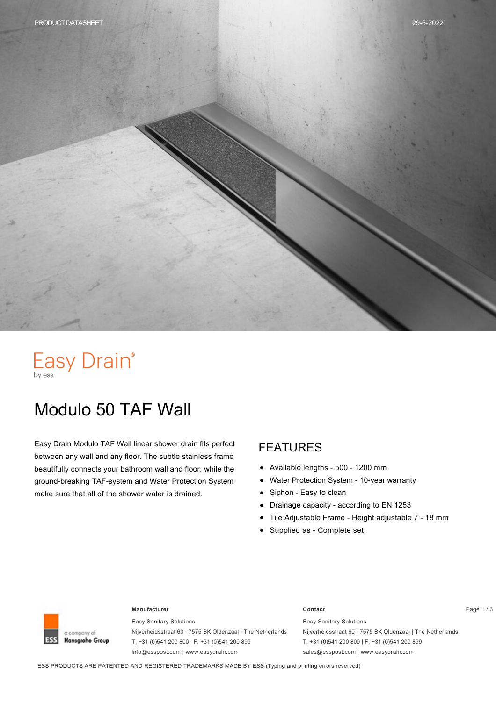# Easy Drain®

## Modulo 50 TAF Wall

Easy Drain Modulo TAF Wall linear shower drain fits perfect between any wall and any floor. The subtle stainless frame beautifully connects your bathroom wall and floor, while the ground-breaking TAF-system and Water Protection System make sure that all of the shower water is drained.

#### FEATURES

- Available lengths 500 1200 mm  $\bullet$
- Water Protection System 10-year warranty  $\bullet$
- Siphon Easy to clean  $\bullet$
- Drainage capacity according to EN 1253  $\bullet$
- Tile Adjustable Frame Height adjustable 7 18 mm
- Supplied as Complete set



#### **Manufacturer Contact** Page 1 / 3

Easy Sanitary Solutions Nijverheidsstraat 60 | 7575 BK Oldenzaal | The Netherlands T. +31 (0)541 200 800 | F. +31 (0)541 200 899 info@esspost.com | www.easydrain.com

### Easy Sanitary Solutions

Nijverheidsstraat 60 | 7575 BK Oldenzaal | The Netherlands T. +31 (0)541 200 800 | F. +31 (0)541 200 899 sales@esspost.com | www.easydrain.com

ESS PRODUCTS ARE PATENTED AND REGISTERED TRADEMARKS MADE BY ESS (Typing and printing errors reserved)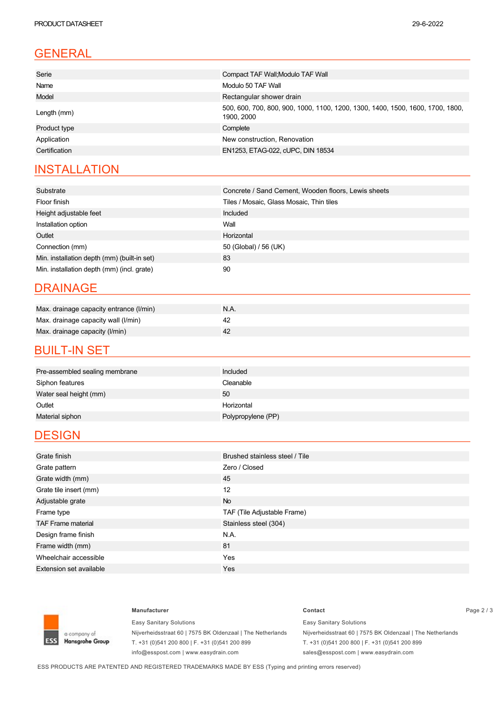### GENERAL

| Serie         | Compact TAF Wall; Modulo TAF Wall                                                            |  |  |  |
|---------------|----------------------------------------------------------------------------------------------|--|--|--|
| Name          | Modulo 50 TAF Wall                                                                           |  |  |  |
| Model         | Rectangular shower drain                                                                     |  |  |  |
| Length (mm)   | 500, 600, 700, 800, 900, 1000, 1100, 1200, 1300, 1400, 1500, 1600, 1700, 1800,<br>1900. 2000 |  |  |  |
| Product type  | Complete                                                                                     |  |  |  |
| Application   | New construction, Renovation                                                                 |  |  |  |
| Certification | EN1253, ETAG-022, cUPC, DIN 18534                                                            |  |  |  |
|               |                                                                                              |  |  |  |

### **INSTALLATION**

| Substrate                                   | Concrete / Sand Cement, Wooden floors, Lewis sheets |  |  |
|---------------------------------------------|-----------------------------------------------------|--|--|
| Floor finish                                | Tiles / Mosaic, Glass Mosaic, Thin tiles            |  |  |
| Height adjustable feet                      | Included                                            |  |  |
| Installation option                         | Wall                                                |  |  |
| Outlet                                      | Horizontal                                          |  |  |
| Connection (mm)                             | 50 (Global) / 56 (UK)                               |  |  |
| Min. installation depth (mm) (built-in set) | 83                                                  |  |  |
| Min. installation depth (mm) (incl. grate)  | 90                                                  |  |  |

#### DRAINAGE

| Max. drainage capacity entrance (I/min) | N.A. |
|-----------------------------------------|------|
| Max. drainage capacity wall (I/min)     |      |
| Max. drainage capacity (I/min)          |      |

#### **BUILT-IN SET**

| Pre-assembled sealing membrane | Included           |
|--------------------------------|--------------------|
| Siphon features                | Cleanable          |
| Water seal height (mm)         | 50                 |
| Outlet                         | Horizontal         |
| Material siphon                | Polypropylene (PP) |

#### **DESIGN**

| Grate finish                   | Brushed stainless steel / Tile |  |  |
|--------------------------------|--------------------------------|--|--|
| Grate pattern                  | Zero / Closed                  |  |  |
| Grate width (mm)               | 45                             |  |  |
| Grate tile insert (mm)         | 12                             |  |  |
| Adjustable grate               | <b>No</b>                      |  |  |
| Frame type                     | TAF (Tile Adjustable Frame)    |  |  |
| <b>TAF Frame material</b>      | Stainless steel (304)          |  |  |
| Design frame finish            | N.A.                           |  |  |
| Frame width (mm)               | 81                             |  |  |
| Wheelchair accessible          | Yes                            |  |  |
| <b>Extension set available</b> | <b>Yes</b>                     |  |  |



Easy Sanitary Solutions Nijverheidsstraat 60 | 7575 BK Oldenzaal | The Netherlands T. +31 (0)541 200 800 | F. +31 (0)541 200 899 info@esspost.com | www.easydrain.com

#### **Manufacturer Contact** Page 2 / 3 Easy Sanitary Solutions

Nijverheidsstraat 60 | 7575 BK Oldenzaal | The Netherlands T. +31 (0)541 200 800 | F. +31 (0)541 200 899 sales@esspost.com | www.easydrain.com

ESS PRODUCTS ARE PATENTED AND REGISTERED TRADEMARKS MADE BY ESS (Typing and printing errors reserved)